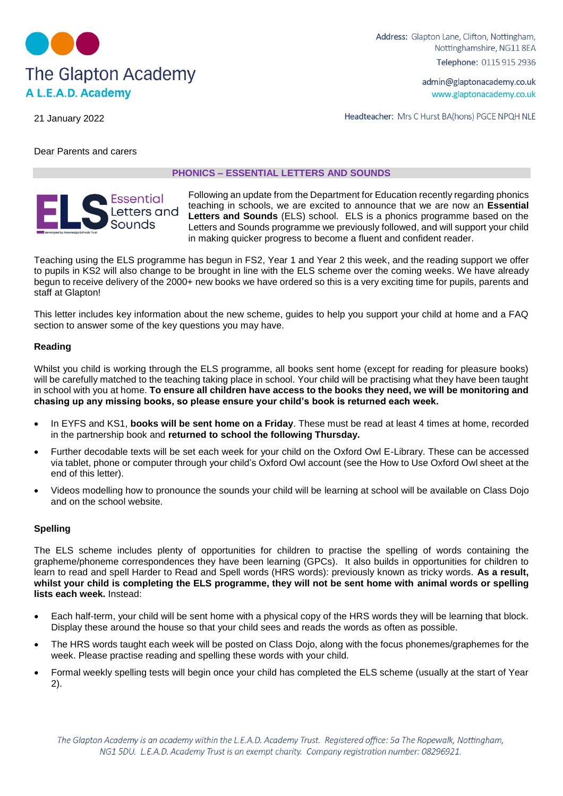

Address: Glapton Lane, Clifton, Nottingham, Nottinghamshire, NG11 8EA Telephone: 0115 915 2936

Headteacher: Mrs C Hurst BA(hons) PGCE NPQH NLE

admin@glaptonacademy.co.uk www.glaptonacademy.co.uk

21 January 2022

Dear Parents and carers

### **PHONICS – ESSENTIAL LETTERS AND SOUNDS**

# Essential Letters and

Following an update from the Department for Education recently regarding phonics teaching in schools, we are excited to announce that we are now an **Essential Letters and Sounds** (ELS) school. ELS is a phonics programme based on the Letters and Sounds programme we previously followed, and will support your child in making quicker progress to become a fluent and confident reader.

Teaching using the ELS programme has begun in FS2, Year 1 and Year 2 this week, and the reading support we offer to pupils in KS2 will also change to be brought in line with the ELS scheme over the coming weeks. We have already begun to receive delivery of the 2000+ new books we have ordered so this is a very exciting time for pupils, parents and staff at Glapton!

This letter includes key information about the new scheme, guides to help you support your child at home and a FAQ section to answer some of the key questions you may have.

# **Reading**

Whilst you child is working through the ELS programme, all books sent home (except for reading for pleasure books) will be carefully matched to the teaching taking place in school. Your child will be practising what they have been taught in school with you at home. **To ensure all children have access to the books they need, we will be monitoring and chasing up any missing books, so please ensure your child's book is returned each week.**

- In EYFS and KS1, **books will be sent home on a Friday**. These must be read at least 4 times at home, recorded in the partnership book and **returned to school the following Thursday.**
- Further decodable texts will be set each week for your child on the Oxford Owl E-Library. These can be accessed via tablet, phone or computer through your child's Oxford Owl account (see the How to Use Oxford Owl sheet at the end of this letter).
- Videos modelling how to pronounce the sounds your child will be learning at school will be available on Class Dojo and on the school website.

## **Spelling**

The ELS scheme includes plenty of opportunities for children to practise the spelling of words containing the grapheme/phoneme correspondences they have been learning (GPCs). It also builds in opportunities for children to learn to read and spell Harder to Read and Spell words (HRS words): previously known as tricky words. **As a result, whilst your child is completing the ELS programme, they will not be sent home with animal words or spelling lists each week.** Instead:

- Each half-term, your child will be sent home with a physical copy of the HRS words they will be learning that block. Display these around the house so that your child sees and reads the words as often as possible.
- The HRS words taught each week will be posted on Class Dojo, along with the focus phonemes/graphemes for the week. Please practise reading and spelling these words with your child.
- Formal weekly spelling tests will begin once your child has completed the ELS scheme (usually at the start of Year 2).